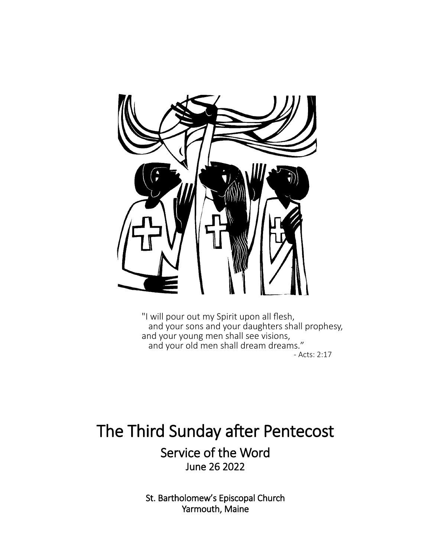

"I will pour out my Spirit upon all flesh, and your sons and your daughters shall prophesy, and your young men shall see visions, and your old men shall dream dreams." - Acts: 2:17

# The Third Sunday after Pentecost

Service of the Word June 26 2022

St. Bartholomew's Episcopal Church Yarmouth, Maine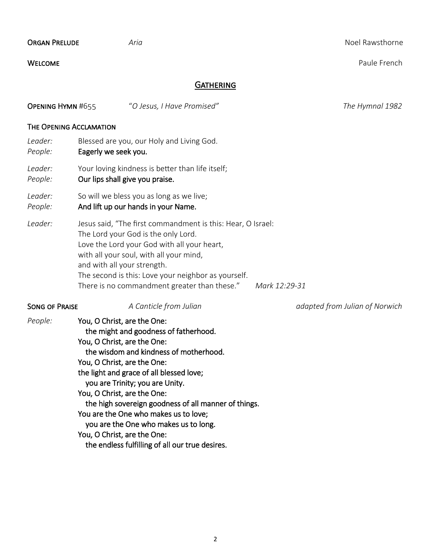| <b>ORGAN PRELUDE</b>     | Aria                                                                                                                                                                                                                                                                                                                                                                                                                                                                                                                   | Noel Rawsthorne                |
|--------------------------|------------------------------------------------------------------------------------------------------------------------------------------------------------------------------------------------------------------------------------------------------------------------------------------------------------------------------------------------------------------------------------------------------------------------------------------------------------------------------------------------------------------------|--------------------------------|
| <b>WELCOME</b>           |                                                                                                                                                                                                                                                                                                                                                                                                                                                                                                                        | Paule French                   |
|                          | <b>GATHERING</b>                                                                                                                                                                                                                                                                                                                                                                                                                                                                                                       |                                |
| <b>OPENING HYMN #655</b> | "O Jesus, I Have Promised"                                                                                                                                                                                                                                                                                                                                                                                                                                                                                             | The Hymnal 1982                |
| THE OPENING ACCLAMATION  |                                                                                                                                                                                                                                                                                                                                                                                                                                                                                                                        |                                |
| Leader:<br>People:       | Blessed are you, our Holy and Living God.<br>Eagerly we seek you.                                                                                                                                                                                                                                                                                                                                                                                                                                                      |                                |
| Leader:<br>People:       | Your loving kindness is better than life itself;<br>Our lips shall give you praise.                                                                                                                                                                                                                                                                                                                                                                                                                                    |                                |
| Leader:<br>People:       | So will we bless you as long as we live;<br>And lift up our hands in your Name.                                                                                                                                                                                                                                                                                                                                                                                                                                        |                                |
| Leader:                  | Jesus said, "The first commandment is this: Hear, O Israel:<br>The Lord your God is the only Lord.<br>Love the Lord your God with all your heart,<br>with all your soul, with all your mind,<br>and with all your strength.<br>The second is this: Love your neighbor as yourself.<br>There is no commandment greater than these."                                                                                                                                                                                     | Mark 12:29-31                  |
| <b>SONG OF PRAISE</b>    | A Canticle from Julian                                                                                                                                                                                                                                                                                                                                                                                                                                                                                                 | adapted from Julian of Norwich |
| People:                  | You, O Christ, are the One:<br>the might and goodness of fatherhood.<br>You, O Christ, are the One:<br>the wisdom and kindness of motherhood.<br>You, O Christ, are the One:<br>the light and grace of all blessed love;<br>you are Trinity; you are Unity.<br>You, O Christ, are the One:<br>the high sovereign goodness of all manner of things.<br>You are the One who makes us to love;<br>you are the One who makes us to long.<br>You, O Christ, are the One:<br>the endless fulfilling of all our true desires. |                                |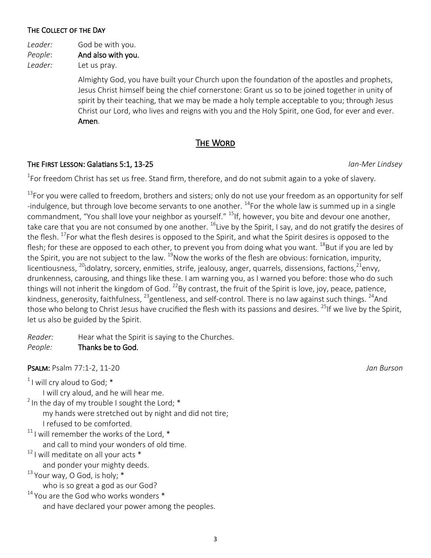#### The Collect of the Day

*Leader:* God be with you. *People*: And also with you. *Leader:* Let us pray.

> Almighty God, you have built your Church upon the foundation of the apostles and prophets, Jesus Christ himself being the chief cornerstone: Grant us so to be joined together in unity of spirit by their teaching, that we may be made a holy temple acceptable to you; through Jesus Christ our Lord, who lives and reigns with you and the Holy Spirit, one God, for ever and ever. Amen.

#### The Word

#### The First Lesson: Galatians 5:1, 13-25 *Ian-Mer Lindsey*

 $^{1}$ For freedom Christ has set us free. Stand firm, therefore, and do not submit again to a yoke of slavery.

 $13$ For you were called to freedom, brothers and sisters; only do not use your freedom as an opportunity for self -indulgence, but through love become servants to one another. <sup>14</sup>For the whole law is summed up in a single commandment, "You shall love your neighbor as yourself." <sup>15</sup>lf, however, you bite and devour one another, take care that you are not consumed by one another.  $^{16}$ Live by the Spirit, I say, and do not gratify the desires of the flesh. <sup>17</sup>For what the flesh desires is opposed to the Spirit, and what the Spirit desires is opposed to the flesh; for these are opposed to each other, to prevent you from doing what you want.  $^{18}$ But if you are led by the Spirit, you are not subject to the law.  $^{19}$ Now the works of the flesh are obvious: fornication, impurity, licentiousness,  $^{20}$ idolatry, sorcery, enmities, strife, jealousy, anger, quarrels, dissensions, factions,  $^{21}$ envy, drunkenness, carousing, and things like these. I am warning you, as I warned you before: those who do such things will not inherit the kingdom of God.  $^{22}$ By contrast, the fruit of the Spirit is love, joy, peace, patience, kindness, generosity, faithfulness,  $^{23}$ gentleness, and self-control. There is no law against such things.  $^{24}$ And those who belong to Christ Jesus have crucified the flesh with its passions and desires. <sup>25</sup>If we live by the Spirit, let us also be guided by the Spirit.

*Reader:* Hear what the Spirit is saying to the Churches.

#### *People:* Thanks be to God.

Psalm: Psalm 77:1-2, 11-20 *Jan Burson*

 $1$  I will cry aloud to God;  $*$ 

I will cry aloud, and he will hear me.

 $2$  In the day of my trouble I sought the Lord;  $*$  my hands were stretched out by night and did not tire; I refused to be comforted.

- $11$  I will remember the works of the Lord,  $*$ and call to mind your wonders of old time.
- $12$  I will meditate on all your acts  $*$

and ponder your mighty deeds.

 $13$  Your way, O God, is holy;  $*$ 

who is so great a god as our God?

<sup>14</sup> You are the God who works wonders \* and have declared your power among the peoples.

3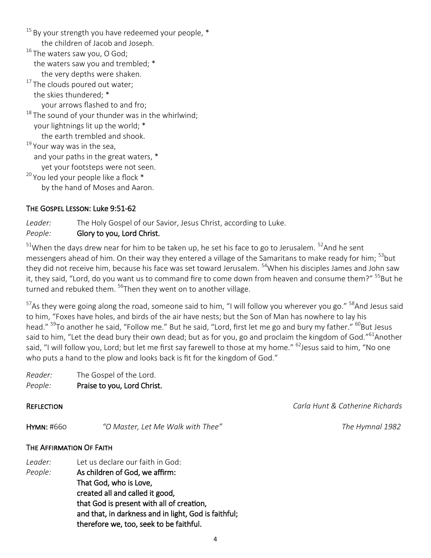$15$  By your strength you have redeemed your people,  $*$  the children of Jacob and Joseph. <sup>16</sup> The waters saw you, O God; the waters saw you and trembled; \* the very depths were shaken.  $17$  The clouds poured out water; the skies thundered; \* your arrows flashed to and fro;  $18$  The sound of your thunder was in the whirlwind; your lightnings lit up the world; \* the earth trembled and shook.  $19$  Your way was in the sea, and your paths in the great waters, \* yet your footsteps were not seen.  $20$  You led your people like a flock  $*$ by the hand of Moses and Aaron.

#### The Gospel Lesson: Luke 9:51-62

*Leader:* The Holy Gospel of our Savior, Jesus Christ, according to Luke. *People:* Glory to you, Lord Christ.

 $51$ When the days drew near for him to be taken up, he set his face to go to Jerusalem.  $52$ And he sent messengers ahead of him. On their way they entered a village of the Samaritans to make ready for him; <sup>53</sup>but they did not receive him, because his face was set toward Jerusalem. <sup>54</sup>When his disciples James and John saw it, they said, "Lord, do you want us to command fire to come down from heaven and consume them?" <sup>55</sup>But he turned and rebuked them. <sup>56</sup>Then they went on to another village.

<sup>57</sup>As they were going along the road, someone said to him, "I will follow you wherever you go." <sup>58</sup>And Jesus said to him, "Foxes have holes, and birds of the air have nests; but the Son of Man has nowhere to lay his head." <sup>59</sup>To another he said, "Follow me." But he said, "Lord, first let me go and bury my father." <sup>60</sup>But Jesus said to him, "Let the dead bury their own dead; but as for you, go and proclaim the kingdom of God."<sup>61</sup>Another said, "I will follow you, Lord; but let me first say farewell to those at my home." <sup>62</sup>Jesus said to him, "No one who puts a hand to the plow and looks back is fit for the kingdom of God."

*Reader:* The Gospel of the Lord. *People:* Praise to you, Lord Christ.

Reflection *Carla Hunt & Catherine Richards*

Hymn: #660 *"O Master, Let Me Walk with Thee" The Hymnal 1982*

#### The Affirmation Of Faith

*Leader:* Let us declare our faith in God: *People:* As children of God, we affirm: That God, who is Love, created all and called it good, that God is present with all of creation, and that, in darkness and in light, God is faithful; therefore we, too, seek to be faithful.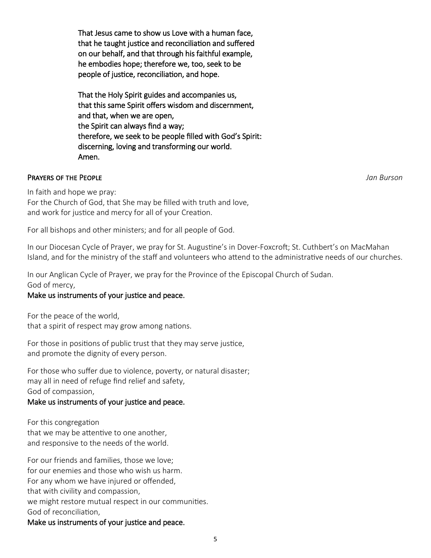That Jesus came to show us Love with a human face, that he taught justice and reconciliation and suffered on our behalf, and that through his faithful example, he embodies hope; therefore we, too, seek to be people of justice, reconciliation, and hope.

That the Holy Spirit guides and accompanies us, that this same Spirit offers wisdom and discernment, and that, when we are open, the Spirit can always find a way; therefore, we seek to be people filled with God's Spirit: discerning, loving and transforming our world. Amen.

#### Prayers of the People *Jan Burson*

In faith and hope we pray:

For the Church of God, that She may be filled with truth and love, and work for justice and mercy for all of your Creation.

For all bishops and other ministers; and for all people of God.

In our Diocesan Cycle of Prayer, we pray for St. Augustine's in Dover-Foxcroft; St. Cuthbert's on MacMahan Island, and for the ministry of the staff and volunteers who attend to the administrative needs of our churches.

In our Anglican Cycle of Prayer, we pray for the Province of the Episcopal Church of Sudan. God of mercy,

#### Make us instruments of your justice and peace.

For the peace of the world, that a spirit of respect may grow among nations.

For those in positions of public trust that they may serve justice, and promote the dignity of every person.

For those who suffer due to violence, poverty, or natural disaster; may all in need of refuge find relief and safety, God of compassion,

#### Make us instruments of your justice and peace.

For this congregation that we may be attentive to one another, and responsive to the needs of the world.

For our friends and families, those we love; for our enemies and those who wish us harm. For any whom we have injured or offended, that with civility and compassion, we might restore mutual respect in our communities. God of reconciliation,

Make us instruments of your justice and peace.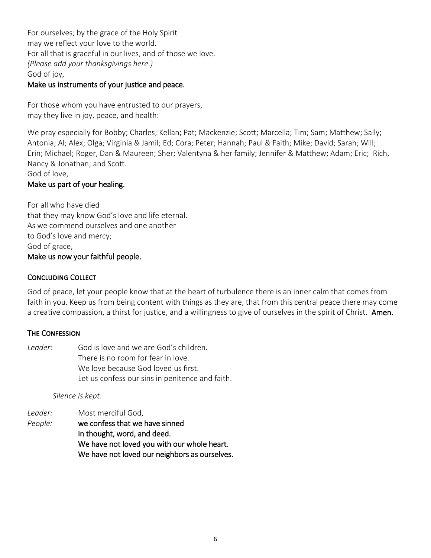For ourselves; by the grace of the Holy Spirit may we reflect your love to the world. For all that is graceful in our lives, and of those we love. *(Please add your thanksgivings here.)* God of joy,

#### Make us instruments of your justice and peace.

For those whom you have entrusted to our prayers, may they live in joy, peace, and health:

We pray especially for Bobby; Charles; Kellan; Pat; Mackenzie; Scott; Marcella; Tim; Sam; Matthew; Sally; Antonia; Al; Alex; Olga; Virginia & Jamil; Ed; Cora; Peter; Hannah; Paul & Faith; Mike; David; Sarah; Will; Erin; Michael; Roger, Dan & Maureen; Sher; Valentyna & her family; Jennifer & Matthew; Adam; Eric; Rich, Nancy & Jonathan; and Scott.

#### God of love,

#### Make us part of your healing.

For all who have died that they may know God's love and life eternal. As we commend ourselves and one another to God's love and mercy; God of grace, Make us now your faithful people.

#### Concluding Collect

God of peace, let your people know that at the heart of turbulence there is an inner calm that comes from faith in you. Keep us from being content with things as they are, that from this central peace there may come a creative compassion, a thirst for justice, and a willingness to give of ourselves in the spirit of Christ. Amen.

#### **THE CONFESSION**

*Leader:* God is love and we are God's children. There is no room for fear in love. We love because God loved us first. Let us confess our sins in penitence and faith.

*Silence is kept.*

*Leader:* Most merciful God, *People:* we confess that we have sinned in thought, word, and deed. We have not loved you with our whole heart. We have not loved our neighbors as ourselves.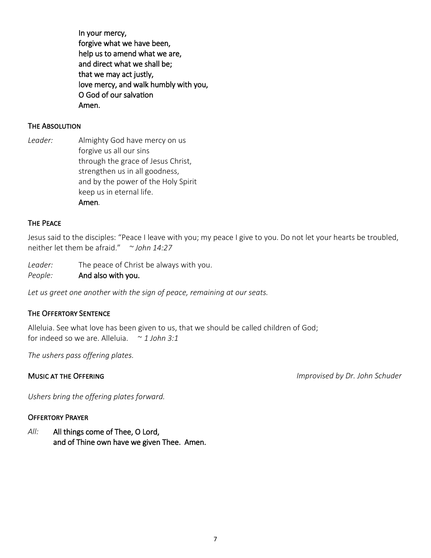In your mercy, forgive what we have been, help us to amend what we are, and direct what we shall be; that we may act justly, love mercy, and walk humbly with you, O God of our salvation Amen.

#### The Absolution

*Leader:* Almighty God have mercy on us forgive us all our sins through the grace of Jesus Christ, strengthen us in all goodness, and by the power of the Holy Spirit keep us in eternal life. Amen*.*

#### The Peace

Jesus said to the disciples: "Peace I leave with you; my peace I give to you. Do not let your hearts be troubled, neither let them be afraid." *~ John 14:27*

*Leader:* The peace of Christ be always with you.

*People:* And also with you.

*Let us greet one another with the sign of peace, remaining at our seats.*

#### The Offertory Sentence

Alleluia. See what love has been given to us, that we should be called children of God; for indeed so we are. Alleluia. ~ *1 John 3:1*

*The ushers pass offering plates.*

Music at the Offering *Improvised by Dr. John Schuder*

*Ushers bring the offering plates forward.*

#### Offertory Prayer

*All:* All things come of Thee, O Lord, and of Thine own have we given Thee. Amen.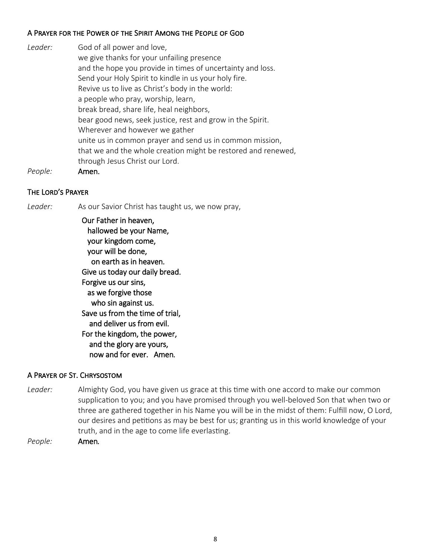#### A Prayer for the Power of the Spirit Among the People of God

| Leader: | God of all power and love,                                    |
|---------|---------------------------------------------------------------|
|         | we give thanks for your unfailing presence                    |
|         | and the hope you provide in times of uncertainty and loss.    |
|         | Send your Holy Spirit to kindle in us your holy fire.         |
|         | Revive us to live as Christ's body in the world:              |
|         | a people who pray, worship, learn,                            |
|         | break bread, share life, heal neighbors,                      |
|         | bear good news, seek justice, rest and grow in the Spirit.    |
|         | Wherever and however we gather                                |
|         | unite us in common prayer and send us in common mission,      |
|         | that we and the whole creation might be restored and renewed, |
|         | through Jesus Christ our Lord.                                |
|         |                                                               |

*People:* Amen.

#### The Lord's Prayer

Leader: As our Savior Christ has taught us, we now pray,

 Our Father in heaven, hallowed be your Name, your kingdom come, your will be done, on earth as in heaven. Give us today our daily bread. Forgive us our sins, as we forgive those who sin against us. Save us from the time of trial, and deliver us from evil. For the kingdom, the power, and the glory are yours, now and for ever. Amen*.* 

#### A Prayer of St. Chrysostom

*Leader:* Almighty God, you have given us grace at this time with one accord to make our common supplication to you; and you have promised through you well-beloved Son that when two or three are gathered together in his Name you will be in the midst of them: Fulfill now, O Lord, our desires and petitions as may be best for us; granting us in this world knowledge of your truth, and in the age to come life everlasting.

*People:* Amen*.*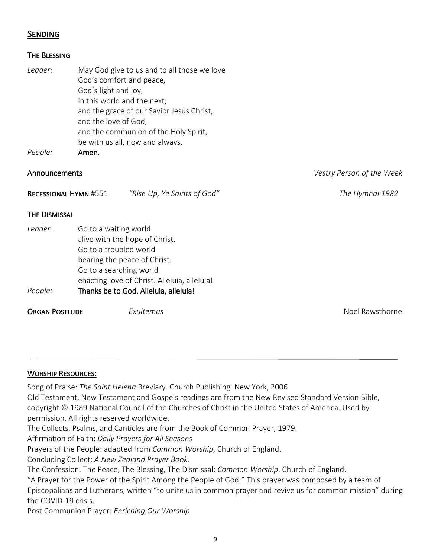#### **SENDING**

| THE BLESSING |
|--------------|
|--------------|

| Leader:<br>People:           | God's comfort and peace,<br>God's light and joy,<br>in this world and the next;<br>and the love of God,<br>Amen.                             | May God give to us and to all those we love<br>and the grace of our Savior Jesus Christ,<br>and the communion of the Holy Spirit,<br>be with us all, now and always. |                           |
|------------------------------|----------------------------------------------------------------------------------------------------------------------------------------------|----------------------------------------------------------------------------------------------------------------------------------------------------------------------|---------------------------|
| Announcements                |                                                                                                                                              |                                                                                                                                                                      | Vestry Person of the Week |
| <b>RECESSIONAL HYMN #551</b> |                                                                                                                                              | "Rise Up, Ye Saints of God"                                                                                                                                          | The Hymnal 1982           |
| <b>THE DISMISSAL</b>         |                                                                                                                                              |                                                                                                                                                                      |                           |
| Leader:<br>People:           | Go to a waiting world<br>alive with the hope of Christ.<br>Go to a troubled world<br>bearing the peace of Christ.<br>Go to a searching world | enacting love of Christ. Alleluia, alleluia!<br>Thanks be to God. Alleluia, alleluia!                                                                                |                           |
| <b>ORGAN POSTLUDE</b>        |                                                                                                                                              | Exultemus                                                                                                                                                            | Noel Rawsthorne           |

#### WORSHIP RESOURCES:

Song of Praise: *The Saint Helena* Breviary. Church Publishing. New York, 2006 Old Testament, New Testament and Gospels readings are from the New Revised Standard Version Bible, copyright © 1989 National Council of the Churches of Christ in the United States of America. Used by permission. All rights reserved worldwide.

The Collects, Psalms, and Canticles are from the Book of Common Prayer, 1979.

Affirmation of Faith: *Daily Prayers for All Seasons*

Prayers of the People: adapted from *Common Worship*, Church of England.

Concluding Collect: *A New Zealand Prayer Book.*

The Confession, The Peace, The Blessing, The Dismissal: *Common Worship*, Church of England.

"A Prayer for the Power of the Spirit Among the People of God:" This prayer was composed by a team of Episcopalians and Lutherans, written "to unite us in common prayer and revive us for common mission" during the COVID-19 crisis.

Post Communion Prayer: *Enriching Our Worship*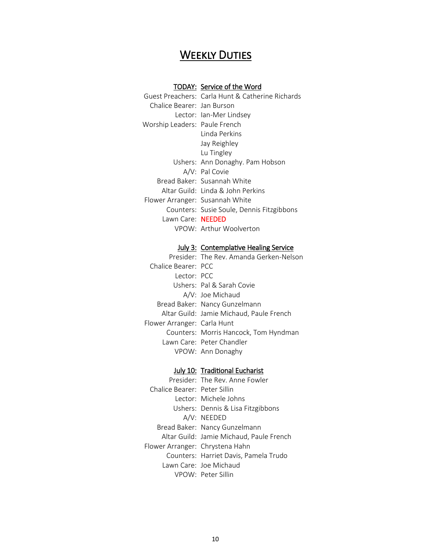## **WEEKLY DUTIES**

#### TODAY: Service of the Word

|                                 | Guest Preachers: Carla Hunt & Catherine Richards |
|---------------------------------|--------------------------------------------------|
| Chalice Bearer: Jan Burson      |                                                  |
|                                 | Lector: Ian-Mer Lindsey                          |
| Worship Leaders: Paule French   |                                                  |
|                                 | Linda Perkins                                    |
|                                 | Jay Reighley                                     |
|                                 | Lu Tingley                                       |
|                                 | Ushers: Ann Donaghy. Pam Hobson                  |
|                                 | A/V: Pal Covie                                   |
|                                 | Bread Baker: Susannah White                      |
|                                 | Altar Guild: Tinda & John Perkins                |
| Flower Arranger: Susannah White |                                                  |
|                                 | Counters: Susie Soule, Dennis Fitzgibbons        |
| Lawn Care: NEEDED               |                                                  |
|                                 | VPOW: Arthur Woolverton                          |
|                                 |                                                  |

#### July 3: Contemplative Healing Service

| Presider: The Rev. Amanda Gerken-Nelson  |
|------------------------------------------|
| Chalice Bearer: PCC                      |
| Lector: PCC                              |
| Ushers: Pal & Sarah Covie                |
| A/V: Joe Michaud                         |
| Bread Baker: Nancy Gunzelmann            |
| Altar Guild: Jamie Michaud, Paule French |
| Flower Arranger: Carla Hunt              |
| Counters: Morris Hancock, Tom Hyndman    |
| Lawn Care: Peter Chandler                |
| VPOW: Ann Donaghy                        |
|                                          |

#### July 10: Traditional Eucharist

|                                 | Presider: The Rev. Anne Fowler           |
|---------------------------------|------------------------------------------|
| Chalice Bearer: Peter Sillin    |                                          |
|                                 | Tector: Michele Johns                    |
|                                 | Ushers: Dennis & Lisa Fitzgibbons        |
|                                 | A/V: NEEDED                              |
|                                 | Bread Baker: Nancy Gunzelmann            |
|                                 | Altar Guild: Jamie Michaud, Paule French |
| Flower Arranger: Chrystena Hahn |                                          |
|                                 | Counters: Harriet Davis, Pamela Trudo    |
|                                 | Tawn Care: Joe Michaud                   |
|                                 | VPOW: Peter Sillin                       |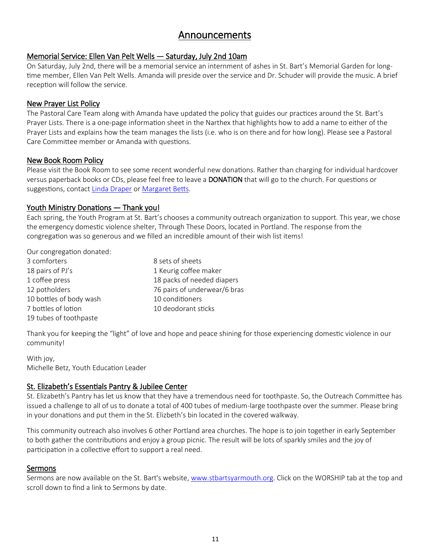### Announcements

#### Memorial Service: Ellen Van Pelt Wells — Saturday, July 2nd 10am

On Saturday, July 2nd, there will be a memorial service an internment of ashes in St. Bart's Memorial Garden for longtime member, Ellen Van Pelt Wells. Amanda will preside over the service and Dr. Schuder will provide the music. A brief reception will follow the service.

#### New Prayer List Policy

The Pastoral Care Team along with Amanda have updated the policy that guides our practices around the St. Bart's Prayer Lists. There is a one-page information sheet in the Narthex that highlights how to add a name to either of the Prayer Lists and explains how the team manages the lists (i.e. who is on there and for how long). Please see a Pastoral Care Committee member or Amanda with questions.

#### New Book Room Policy

Please visit the Book Room to see some recent wonderful new donations. Rather than charging for individual hardcover versus paperback books or CDs, please feel free to leave a DONATION that will go to the church. For questions or suggestions, contact [Linda Draper](mailto:ldraper347@gmail.com) or [Margaret Betts.](mailto:mmbetts@roadrunner.com)

#### Youth Ministry Donations — Thank you!

Each spring, the Youth Program at St. Bart's chooses a community outreach organization to support. This year, we chose the emergency domestic violence shelter, Through These Doors, located in Portland. The response from the congregation was so generous and we filled an incredible amount of their wish list items!

Our congregation donated:

| 3 comforters            | 8 sets of sheets             |
|-------------------------|------------------------------|
| 18 pairs of PJ's        | 1 Keurig coffee maker        |
| 1 coffee press          | 18 packs of needed diapers   |
| 12 potholders           | 76 pairs of underwear/6 bras |
| 10 bottles of body wash | 10 conditioners              |
| 7 bottles of lotion     | 10 deodorant sticks          |
| 19 tubes of toothpaste  |                              |

Thank you for keeping the "light" of love and hope and peace shining for those experiencing domestic violence in our community!

With joy, Michelle Betz, Youth Education Leader

#### St. Elizabeth's Essentials Pantry & Jubilee Center

St. Elizabeth's Pantry has let us know that they have a tremendous need for toothpaste. So, the Outreach Committee has issued a challenge to all of us to donate a total of 400 tubes of medium-large toothpaste over the summer. Please bring in your donations and put them in the St. Elizbeth's bin located in the covered walkway.

This community outreach also involves 6 other Portland area churches. The hope is to join together in early September to both gather the contributions and enjoy a group picnic. The result will be lots of sparkly smiles and the joy of participation in a collective effort to support a real need.

#### Sermons

Sermons are now available on the St. Bart's website, [www.stbartsyarmouth.org.](http://www.stbartsyarmouth.org) Click on the WORSHIP tab at the top and scroll down to find a link to Sermons by date.